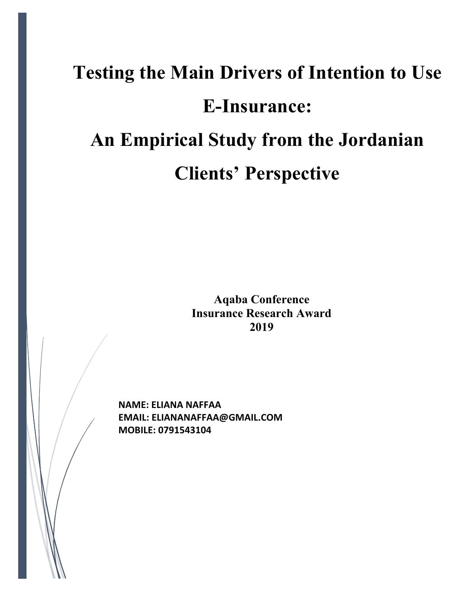# **Testing the Main Drivers of Intention to Use E-Insurance: An Empirical Study from the Jordanian Clients' Perspective**

**Aqaba Conference Insurance Research Award 2019**

**NAME: ELIANA NAFFAA EMAIL: ELIANANAFFAA@GMAIL.COM MOBILE: 0791543104**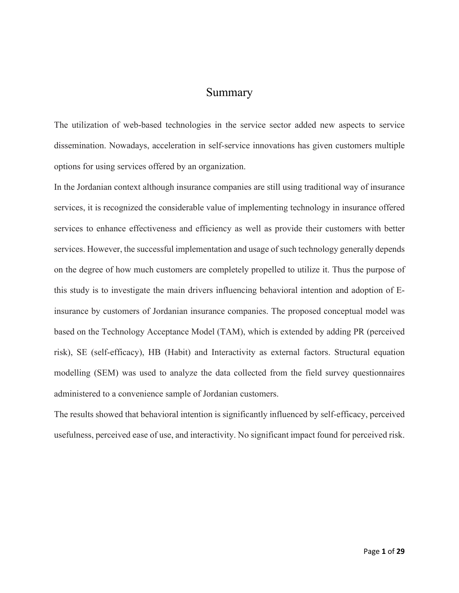### Summary

The utilization of web-based technologies in the service sector added new aspects to service dissemination. Nowadays, acceleration in self-service innovations has given customers multiple options for using services offered by an organization.

In the Jordanian context although insurance companies are still using traditional way of insurance services, it is recognized the considerable value of implementing technology in insurance offered services to enhance effectiveness and efficiency as well as provide their customers with better services. However, the successful implementation and usage of such technology generally depends on the degree of how much customers are completely propelled to utilize it. Thus the purpose of this study is to investigate the main drivers influencing behavioral intention and adoption of Einsurance by customers of Jordanian insurance companies. The proposed conceptual model was based on the Technology Acceptance Model (TAM), which is extended by adding PR (perceived risk), SE (self-efficacy), HB (Habit) and Interactivity as external factors. Structural equation modelling (SEM) was used to analyze the data collected from the field survey questionnaires administered to a convenience sample of Jordanian customers.

The results showed that behavioral intention is significantly influenced by self-efficacy, perceived usefulness, perceived ease of use, and interactivity. No significant impact found for perceived risk.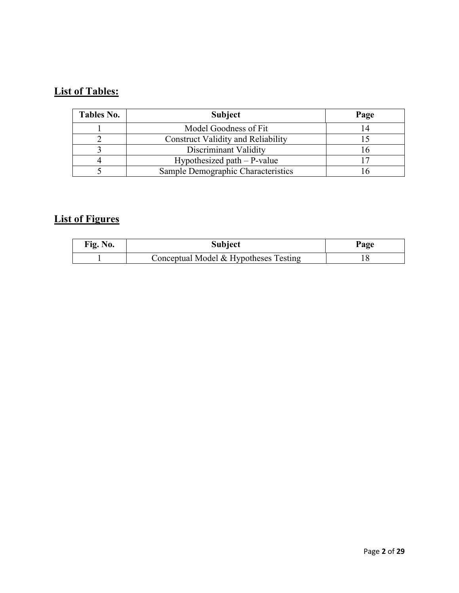# **List of Tables:**

| <b>Tables No.</b> | <b>Subject</b>                            | Page |  |
|-------------------|-------------------------------------------|------|--|
|                   | Model Goodness of Fit                     | 14   |  |
|                   | <b>Construct Validity and Reliability</b> |      |  |
|                   | Discriminant Validity                     |      |  |
|                   | Hypothesized path $-$ P-value             |      |  |
|                   | Sample Demographic Characteristics        |      |  |

# **List of Figures**

| Fig. No. | <b>Subject</b>                        | Page |
|----------|---------------------------------------|------|
|          | Conceptual Model & Hypotheses Testing |      |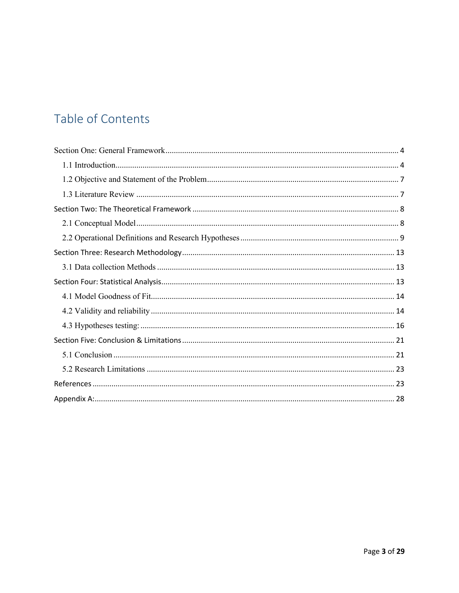# Table of Contents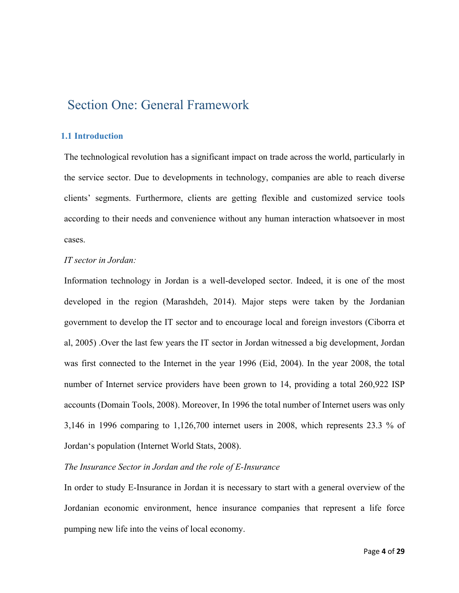# Section One: General Framework

#### **1.1 Introduction**

The technological revolution has a significant impact on trade across the world, particularly in the service sector. Due to developments in technology, companies are able to reach diverse clients' segments. Furthermore, clients are getting flexible and customized service tools according to their needs and convenience without any human interaction whatsoever in most cases.

#### *IT sector in Jordan:*

Information technology in Jordan is a well-developed sector. Indeed, it is one of the most developed in the region (Marashdeh, 2014). Major steps were taken by the Jordanian government to develop the IT sector and to encourage local and foreign investors (Ciborra et al, 2005) .Over the last few years the IT sector in Jordan witnessed a big development, Jordan was first connected to the Internet in the year 1996 (Eid, 2004). In the year 2008, the total number of Internet service providers have been grown to 14, providing a total 260,922 ISP accounts (Domain Tools, 2008). Moreover, In 1996 the total number of Internet users was only 3,146 in 1996 comparing to 1,126,700 internet users in 2008, which represents 23.3 % of Jordan's population (Internet World Stats, 2008).

#### *The Insurance Sector in Jordan and the role of E-Insurance*

In order to study E-Insurance in Jordan it is necessary to start with a general overview of the Jordanian economic environment, hence insurance companies that represent a life force pumping new life into the veins of local economy.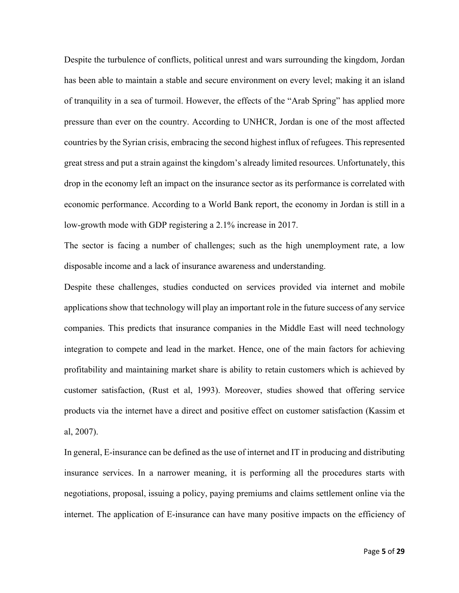Despite the turbulence of conflicts, political unrest and wars surrounding the kingdom, Jordan has been able to maintain a stable and secure environment on every level; making it an island of tranquility in a sea of turmoil. However, the effects of the "Arab Spring" has applied more pressure than ever on the country. According to UNHCR, Jordan is one of the most affected countries by the Syrian crisis, embracing the second highest influx of refugees. This represented great stress and put a strain against the kingdom's already limited resources. Unfortunately, this drop in the economy left an impact on the insurance sector as its performance is correlated with economic performance. According to a World Bank report, the economy in Jordan is still in a low-growth mode with GDP registering a 2.1% increase in 2017.

The sector is facing a number of challenges; such as the high unemployment rate, a low disposable income and a lack of insurance awareness and understanding.

Despite these challenges, studies conducted on services provided via internet and mobile applications show that technology will play an important role in the future success of any service companies. This predicts that insurance companies in the Middle East will need technology integration to compete and lead in the market. Hence, one of the main factors for achieving profitability and maintaining market share is ability to retain customers which is achieved by customer satisfaction, (Rust et al, 1993). Moreover, studies showed that offering service products via the internet have a direct and positive effect on customer satisfaction (Kassim et al, 2007).

In general, E-insurance can be defined as the use of internet and IT in producing and distributing insurance services. In a narrower meaning, it is performing all the procedures starts with negotiations, proposal, issuing a policy, paying premiums and claims settlement online via the internet. The application of E-insurance can have many positive impacts on the efficiency of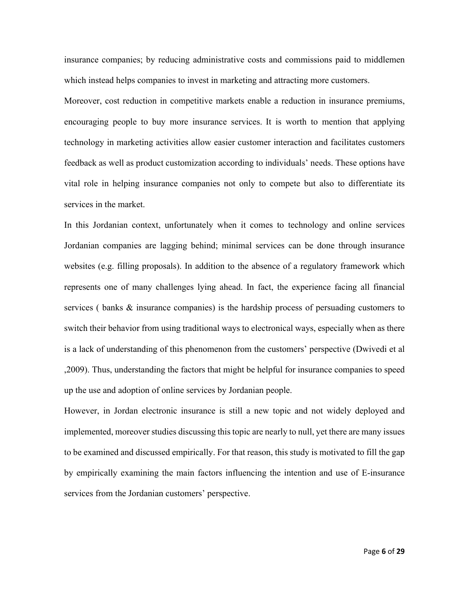insurance companies; by reducing administrative costs and commissions paid to middlemen which instead helps companies to invest in marketing and attracting more customers.

Moreover, cost reduction in competitive markets enable a reduction in insurance premiums, encouraging people to buy more insurance services. It is worth to mention that applying technology in marketing activities allow easier customer interaction and facilitates customers feedback as well as product customization according to individuals' needs. These options have vital role in helping insurance companies not only to compete but also to differentiate its services in the market.

In this Jordanian context, unfortunately when it comes to technology and online services Jordanian companies are lagging behind; minimal services can be done through insurance websites (e.g. filling proposals). In addition to the absence of a regulatory framework which represents one of many challenges lying ahead. In fact, the experience facing all financial services ( banks & insurance companies) is the hardship process of persuading customers to switch their behavior from using traditional ways to electronical ways, especially when as there is a lack of understanding of this phenomenon from the customers' perspective (Dwivedi et al ,2009). Thus, understanding the factors that might be helpful for insurance companies to speed up the use and adoption of online services by Jordanian people.

However, in Jordan electronic insurance is still a new topic and not widely deployed and implemented, moreover studies discussing this topic are nearly to null, yet there are many issues to be examined and discussed empirically. For that reason, this study is motivated to fill the gap by empirically examining the main factors influencing the intention and use of E-insurance services from the Jordanian customers' perspective.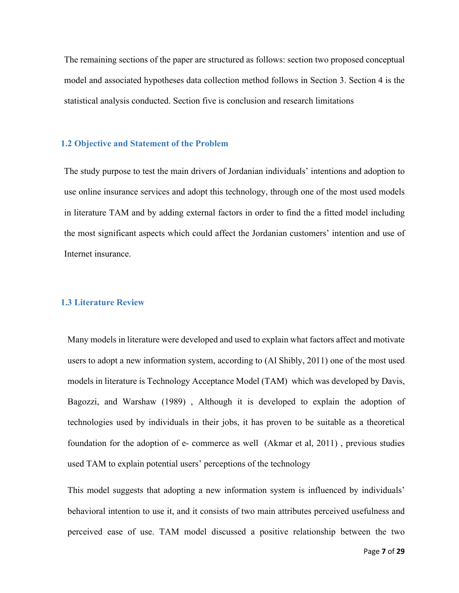The remaining sections of the paper are structured as follows: section two proposed conceptual model and associated hypotheses data collection method follows in Section 3. Section 4 is the statistical analysis conducted. Section five is conclusion and research limitations

#### **1.2 Objective and Statement of the Problem**

The study purpose to test the main drivers of Jordanian individuals' intentions and adoption to use online insurance services and adopt this technology, through one of the most used models in literature TAM and by adding external factors in order to find the a fitted model including the most significant aspects which could affect the Jordanian customers' intention and use of Internet insurance.

#### **1.3 Literature Review**

Many models in literature were developed and used to explain what factors affect and motivate users to adopt a new information system, according to (Al Shibly, 2011) one of the most used models in literature is Technology Acceptance Model (TAM) which was developed by Davis, Bagozzi, and Warshaw (1989) , Although it is developed to explain the adoption of technologies used by individuals in their jobs, it has proven to be suitable as a theoretical foundation for the adoption of e- commerce as well (Akmar et al, 2011) , previous studies used TAM to explain potential users' perceptions of the technology

This model suggests that adopting a new information system is influenced by individuals' behavioral intention to use it, and it consists of two main attributes perceived usefulness and perceived ease of use. TAM model discussed a positive relationship between the two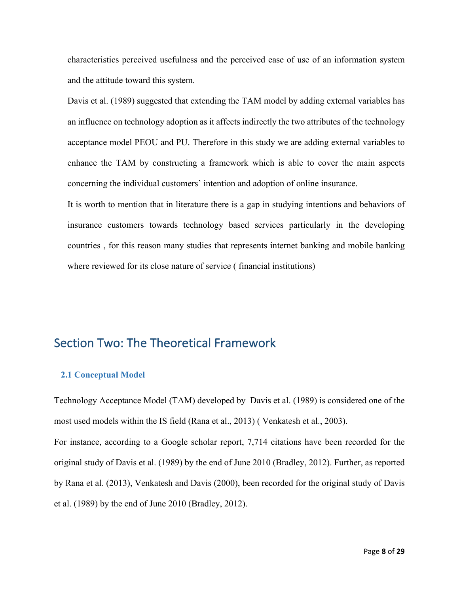characteristics perceived usefulness and the perceived ease of use of an information system and the attitude toward this system.

Davis et al. (1989) suggested that extending the TAM model by adding external variables has an influence on technology adoption as it affects indirectly the two attributes of the technology acceptance model PEOU and PU. Therefore in this study we are adding external variables to enhance the TAM by constructing a framework which is able to cover the main aspects concerning the individual customers' intention and adoption of online insurance.

It is worth to mention that in literature there is a gap in studying intentions and behaviors of insurance customers towards technology based services particularly in the developing countries , for this reason many studies that represents internet banking and mobile banking where reviewed for its close nature of service ( financial institutions)

## Section Two: The Theoretical Framework

#### **2.1 Conceptual Model**

Technology Acceptance Model (TAM) developed by Davis et al. (1989) is considered one of the most used models within the IS field (Rana et al., 2013) ( Venkatesh et al., 2003). For instance, according to a Google scholar report, 7,714 citations have been recorded for the original study of Davis et al. (1989) by the end of June 2010 (Bradley, 2012). Further, as reported by Rana et al. (2013), Venkatesh and Davis (2000), been recorded for the original study of Davis et al. (1989) by the end of June 2010 (Bradley, 2012).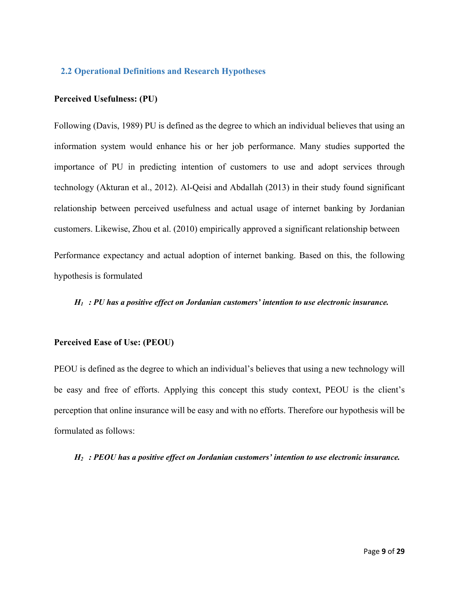#### **2.2 Operational Definitions and Research Hypotheses**

#### **Perceived Usefulness: (PU)**

Following (Davis, 1989) PU is defined as the degree to which an individual believes that using an information system would enhance his or her job performance. Many studies supported the importance of PU in predicting intention of customers to use and adopt services through technology (Akturan et al., 2012). Al-Qeisi and Abdallah (2013) in their study found significant relationship between perceived usefulness and actual usage of internet banking by Jordanian customers. Likewise, Zhou et al. (2010) empirically approved a significant relationship between Performance expectancy and actual adoption of internet banking. Based on this, the following

hypothesis is formulated

*H1 : PU has a positive effect on Jordanian customers' intention to use electronic insurance.*

#### **Perceived Ease of Use: (PEOU)**

PEOU is defined as the degree to which an individual's believes that using a new technology will be easy and free of efforts. Applying this concept this study context, PEOU is the client's perception that online insurance will be easy and with no efforts. Therefore our hypothesis will be formulated as follows:

*H2 : PEOU has a positive effect on Jordanian customers' intention to use electronic insurance.*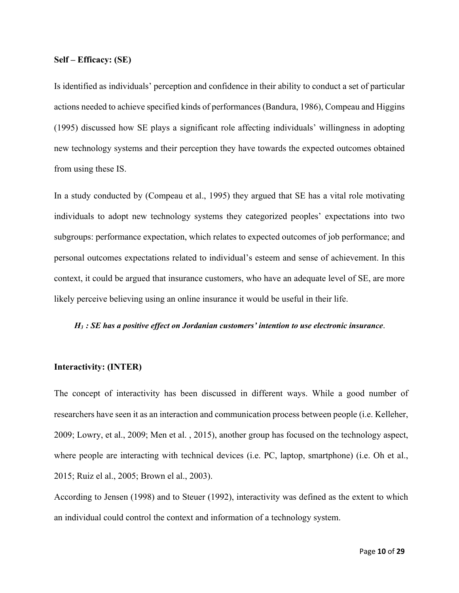#### **Self – Efficacy: (SE)**

Is identified as individuals' perception and confidence in their ability to conduct a set of particular actions needed to achieve specified kinds of performances (Bandura, 1986), Compeau and Higgins (1995) discussed how SE plays a significant role affecting individuals' willingness in adopting new technology systems and their perception they have towards the expected outcomes obtained from using these IS.

In a study conducted by (Compeau et al., 1995) they argued that SE has a vital role motivating individuals to adopt new technology systems they categorized peoples' expectations into two subgroups: performance expectation, which relates to expected outcomes of job performance; and personal outcomes expectations related to individual's esteem and sense of achievement. In this context, it could be argued that insurance customers, who have an adequate level of SE, are more likely perceive believing using an online insurance it would be useful in their life.

#### *H3 : SE has a positive effect on Jordanian customers' intention to use electronic insurance*.

#### **Interactivity: (INTER)**

The concept of interactivity has been discussed in different ways. While a good number of researchers have seen it as an interaction and communication process between people (i.e. Kelleher, 2009; Lowry, et al., 2009; Men et al. , 2015), another group has focused on the technology aspect, where people are interacting with technical devices (i.e. PC, laptop, smartphone) (i.e. Oh et al., 2015; Ruiz el al., 2005; Brown el al., 2003).

According to Jensen (1998) and to Steuer (1992), interactivity was defined as the extent to which an individual could control the context and information of a technology system.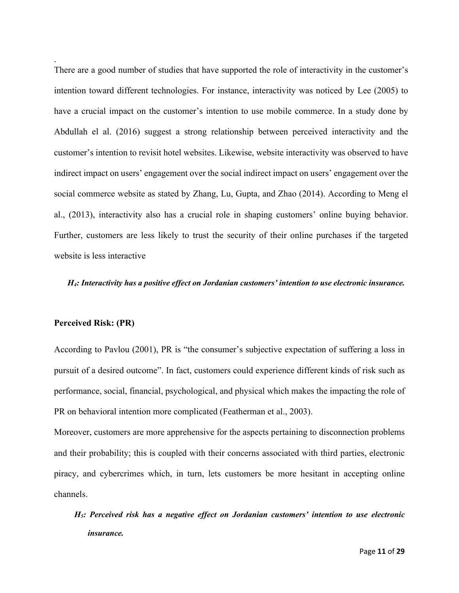There are a good number of studies that have supported the role of interactivity in the customer's intention toward different technologies. For instance, interactivity was noticed by Lee (2005) to have a crucial impact on the customer's intention to use mobile commerce. In a study done by Abdullah el al. (2016) suggest a strong relationship between perceived interactivity and the customer's intention to revisit hotel websites. Likewise, website interactivity was observed to have indirect impact on users' engagement over the social indirect impact on users' engagement over the social commerce website as stated by Zhang, Lu, Gupta, and Zhao (2014). According to Meng el al., (2013), interactivity also has a crucial role in shaping customers' online buying behavior. Further, customers are less likely to trust the security of their online purchases if the targeted website is less interactive

#### *H4: Interactivity has a positive effect on Jordanian customers' intention to use electronic insurance.*

#### **Perceived Risk: (PR)**

.

According to Pavlou (2001), PR is "the consumer's subjective expectation of suffering a loss in pursuit of a desired outcome". In fact, customers could experience different kinds of risk such as performance, social, financial, psychological, and physical which makes the impacting the role of PR on behavioral intention more complicated (Featherman et al., 2003).

Moreover, customers are more apprehensive for the aspects pertaining to disconnection problems and their probability; this is coupled with their concerns associated with third parties, electronic piracy, and cybercrimes which, in turn, lets customers be more hesitant in accepting online channels.

*H5: Perceived risk has a negative effect on Jordanian customers' intention to use electronic insurance.*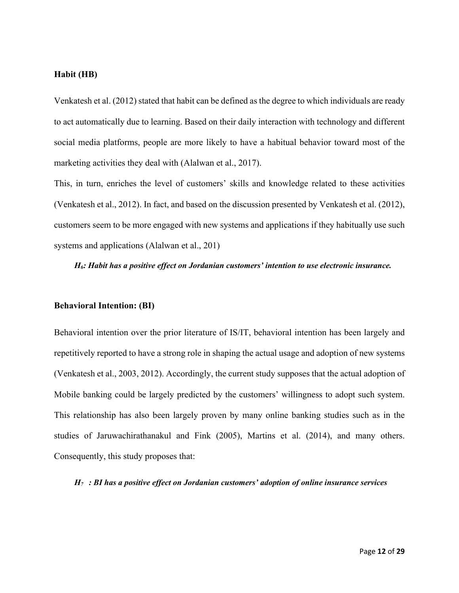#### **Habit (HB)**

Venkatesh et al. (2012) stated that habit can be defined as the degree to which individuals are ready to act automatically due to learning. Based on their daily interaction with technology and different social media platforms, people are more likely to have a habitual behavior toward most of the marketing activities they deal with (Alalwan et al., 2017).

This, in turn, enriches the level of customers' skills and knowledge related to these activities (Venkatesh et al., 2012). In fact, and based on the discussion presented by Venkatesh et al. (2012), customers seem to be more engaged with new systems and applications if they habitually use such systems and applications (Alalwan et al., 201)

*H6: Habit has a positive effect on Jordanian customers' intention to use electronic insurance.*

#### **Behavioral Intention: (BI)**

Behavioral intention over the prior literature of IS/IT, behavioral intention has been largely and repetitively reported to have a strong role in shaping the actual usage and adoption of new systems (Venkatesh et al., 2003, 2012). Accordingly, the current study supposes that the actual adoption of Mobile banking could be largely predicted by the customers' willingness to adopt such system. This relationship has also been largely proven by many online banking studies such as in the studies of Jaruwachirathanakul and Fink (2005), Martins et al. (2014), and many others. Consequently, this study proposes that:

*H7 : BI has a positive effect on Jordanian customers' adoption of online insurance services*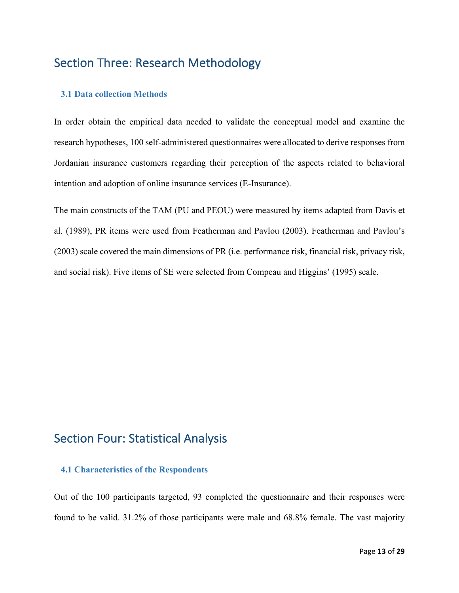## Section Three: Research Methodology

#### **3.1 Data collection Methods**

In order obtain the empirical data needed to validate the conceptual model and examine the research hypotheses, 100 self-administered questionnaires were allocated to derive responses from Jordanian insurance customers regarding their perception of the aspects related to behavioral intention and adoption of online insurance services (E-Insurance).

The main constructs of the TAM (PU and PEOU) were measured by items adapted from Davis et al. (1989), PR items were used from Featherman and Pavlou (2003). Featherman and Pavlou's (2003) scale covered the main dimensions of PR (i.e. performance risk, financial risk, privacy risk, and social risk). Five items of SE were selected from Compeau and Higgins' (1995) scale.

## Section Four: Statistical Analysis

#### **4.1 Characteristics of the Respondents**

Out of the 100 participants targeted, 93 completed the questionnaire and their responses were found to be valid. 31.2% of those participants were male and 68.8% female. The vast majority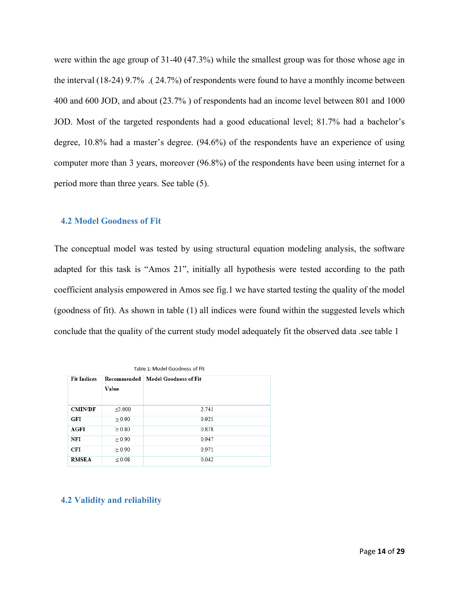were within the age group of 31-40 (47.3%) while the smallest group was for those whose age in the interval (18-24) 9.7% .( 24.7%) of respondents were found to have a monthly income between 400 and 600 JOD, and about (23.7% ) of respondents had an income level between 801 and 1000 JOD. Most of the targeted respondents had a good educational level; 81.7% had a bachelor's degree, 10.8% had a master's degree. (94.6%) of the respondents have an experience of using computer more than 3 years, moreover (96.8%) of the respondents have been using internet for a period more than three years. See table (5).

#### **4.2 Model Goodness of Fit**

The conceptual model was tested by using structural equation modeling analysis, the software adapted for this task is "Amos 21", initially all hypothesis were tested according to the path coefficient analysis empowered in Amos see fig.1 we have started testing the quality of the model (goodness of fit). As shown in table (1) all indices were found within the suggested levels which conclude that the quality of the current study model adequately fit the observed data .see table 1

| Table 1: Model Goodness of Fit |                                     |       |  |  |  |  |  |
|--------------------------------|-------------------------------------|-------|--|--|--|--|--|
| <b>Fit Indices</b>             | Recommended   Model Goodness of Fit |       |  |  |  |  |  |
|                                | Value                               |       |  |  |  |  |  |
|                                |                                     |       |  |  |  |  |  |
| <b>CMIN/DF</b>                 | $\leq 3.000$                        | 2.741 |  |  |  |  |  |
| GFI                            | $\geq 0.90$                         | 0.925 |  |  |  |  |  |
| <b>AGFI</b>                    | > 0.80                              | 0.878 |  |  |  |  |  |
| NFI                            | $\geq 0.90$                         | 0.947 |  |  |  |  |  |
| CFI                            | $\geq 0.90$                         | 0.971 |  |  |  |  |  |
| <b>RMSEA</b>                   | ${}_{0.08}$                         | 0.042 |  |  |  |  |  |

#### **4.2 Validity and reliability**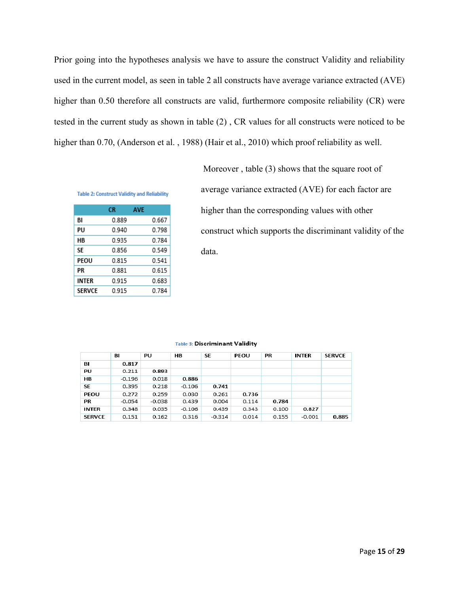Prior going into the hypotheses analysis we have to assure the construct Validity and reliability used in the current model, as seen in table 2 all constructs have average variance extracted (AVE) higher than 0.50 therefore all constructs are valid, furthermore composite reliability (CR) were tested in the current study as shown in table (2) , CR values for all constructs were noticed to be higher than 0.70, (Anderson et al. , 1988) (Hair et al., 2010) which proof reliability as well.

|               | СR    | <b>AVE</b> |       |
|---------------|-------|------------|-------|
| BI            | 0.889 |            | 0.667 |
| PU            | 0.940 |            | 0.798 |
| НB            | 0.935 |            | 0.784 |
| SE            | 0.856 |            | 0.549 |
| PEOU          | 0.815 |            | 0.541 |
| РR            | 0.881 |            | 0.615 |
| INTER         | 0.915 |            | 0.683 |
| <b>SERVCE</b> | 0.915 |            | 0.784 |

**Table 2: Construct Validity and Reliability** 

Moreover , table (3) shows that the square root of average variance extracted (AVE) for each factor are higher than the corresponding values with other construct which supports the discriminant validity of the data.

|               | BI       | PU       | HВ       | SE       | PEOU  | PR    | <b>INTER</b> | <b>SERVCE</b> |
|---------------|----------|----------|----------|----------|-------|-------|--------------|---------------|
| ВI            | 0.817    |          |          |          |       |       |              |               |
| PU            | 0.211    | 0.893    |          |          |       |       |              |               |
| <b>HB</b>     | $-0.196$ | 0.018    | 0.886    |          |       |       |              |               |
| SE            | 0.395    | 0.218    | $-0.106$ | 0.741    |       |       |              |               |
| PEOU          | 0.272    | 0.259    | 0.030    | 0.261    | 0.736 |       |              |               |
| PR            | $-0.054$ | $-0.038$ | 0.439    | 0.004    | 0.114 | 0.784 |              |               |
| <b>INTER</b>  | 0.348    | 0.035    | $-0.106$ | 0.439    | 0.343 | 0.100 | 0.827        |               |
| <b>SERVCE</b> | 0.151    | 0.162    | 0.316    | $-0.314$ | 0.014 | 0.155 | $-0.001$     | 0.885         |

#### Table 3: Discriminant Validity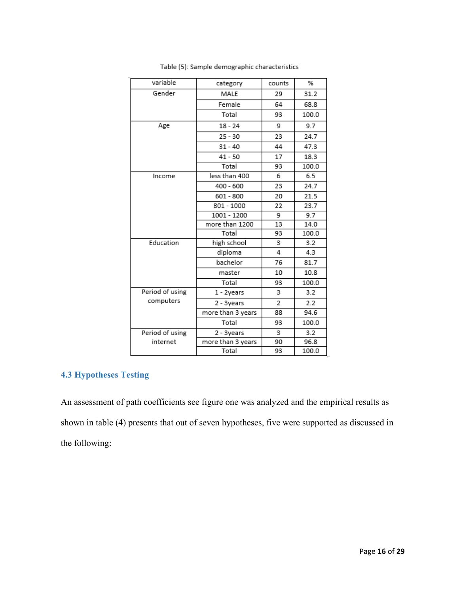| variable        | category          | counts | %     |
|-----------------|-------------------|--------|-------|
| Gender          | MALE              | 29     | 31.2  |
|                 | Female            | 64     | 68.8  |
|                 | Total             | 93     | 100.0 |
| Age             | $18 - 24$         | 9      | 9.7   |
|                 | $25 - 30$         | 23     | 24.7  |
|                 | $31 - 40$         | 44     | 47.3  |
|                 | $41 - 50$         | 17     | 18.3  |
|                 | Total             | 93     | 100.0 |
| Income          | less than 400     | 6      | 6.5   |
|                 | 400 - 600         | 23     | 24.7  |
|                 | $601 - 800$       | 20     | 21.5  |
|                 | 801 - 1000        | 22     | 23.7  |
|                 | 1001 - 1200       | 9      | 9.7   |
|                 | more than 1200    | 13     | 14.0  |
|                 | Total             | 93     | 100.0 |
| Education       | high school       | 3      | 3.2   |
|                 | diploma           | 4      | 4.3   |
|                 | bachelor          | 76     | 81.7  |
|                 | master            | 10     | 10.8  |
|                 | Total             | 93     | 100.0 |
| Period of using | 1 - 2years        | 3      | 3.2   |
| computers       | 2 - 3years        | 2      | 2.2   |
|                 | more than 3 years | 88     | 94.6  |
|                 | Total             | 93     | 100.0 |
| Period of using | 2 - 3years        | 3      | 3.2   |
| internet        | more than 3 years | 90     | 96.8  |
|                 | Total             | 93     | 100.0 |

Table (5): Sample demographic characteristics

## **4.3 Hypotheses Testing**

An assessment of path coefficients see figure one was analyzed and the empirical results as shown in table (4) presents that out of seven hypotheses, five were supported as discussed in the following: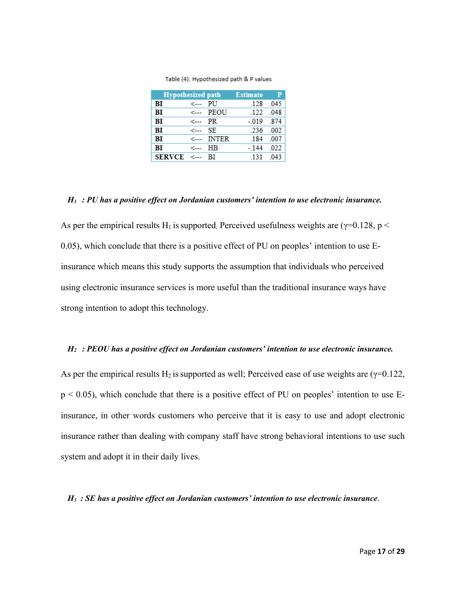| <b>Hypothesized path</b> |                 |            | <b>Estimate</b> | — р   |
|--------------------------|-----------------|------------|-----------------|-------|
| ВI                       | <--- PU         |            | -128            | .045  |
| ВI                       |                 | <--- PEOU  | 122             | - 048 |
| ВI                       | $\leftarrow$ PR |            | $-0.019$        | 874   |
| ВI                       | <--->           | SE.        | .236 .002       |       |
| BI                       |                 | <--- INTER | -184            | - 007 |
| BI                       | ←               | ΗB         | $-144$          | .022  |
| $SERVCE \leq$            |                 | -BI        | 131             | 043   |

Table (4): Hypothesized path & P values

#### *H1 : PU has a positive effect on Jordanian customers' intention to use electronic insurance.*

As per the empirical results H<sub>1</sub> is supported; Perceived usefulness weights are ( $\gamma$ =0.128, p < 0.05), which conclude that there is a positive effect of PU on peoples' intention to use Einsurance which means this study supports the assumption that individuals who perceived using electronic insurance services is more useful than the traditional insurance ways have strong intention to adopt this technology.

#### *H2 : PEOU has a positive effect on Jordanian customers' intention to use electronic insurance.*

As per the empirical results H<sub>2</sub> is supported as well; Perceived ease of use weights are ( $\gamma$ =0.122,  $p < 0.05$ ), which conclude that there is a positive effect of PU on peoples' intention to use Einsurance, in other words customers who perceive that it is easy to use and adopt electronic insurance rather than dealing with company staff have strong behavioral intentions to use such system and adopt it in their daily lives.

#### *H3 : SE has a positive effect on Jordanian customers' intention to use electronic insurance*.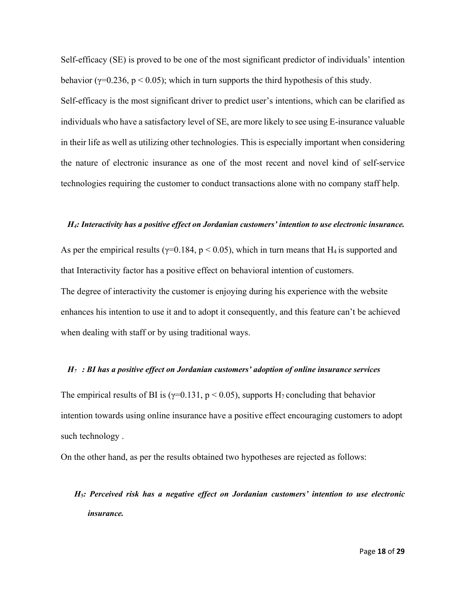Self-efficacy (SE) is proved to be one of the most significant predictor of individuals' intention behavior ( $\gamma$ =0.236, p < 0.05); which in turn supports the third hypothesis of this study. Self-efficacy is the most significant driver to predict user's intentions, which can be clarified as individuals who have a satisfactory level of SE, are more likely to see using E-insurance valuable in their life as well as utilizing other technologies. This is especially important when considering the nature of electronic insurance as one of the most recent and novel kind of self-service technologies requiring the customer to conduct transactions alone with no company staff help.

#### *H4: Interactivity has a positive effect on Jordanian customers' intention to use electronic insurance.*

As per the empirical results ( $\gamma$ =0.184, p < 0.05), which in turn means that H<sub>4</sub> is supported and that Interactivity factor has a positive effect on behavioral intention of customers. The degree of interactivity the customer is enjoying during his experience with the website enhances his intention to use it and to adopt it consequently, and this feature can't be achieved when dealing with staff or by using traditional ways.

#### *H7 : BI has a positive effect on Jordanian customers' adoption of online insurance services*

The empirical results of BI is ( $\gamma$ =0.131, p < 0.05), supports H<sub>7</sub> concluding that behavior intention towards using online insurance have a positive effect encouraging customers to adopt such technology .

On the other hand, as per the results obtained two hypotheses are rejected as follows:

# *H5: Perceived risk has a negative effect on Jordanian customers' intention to use electronic insurance.*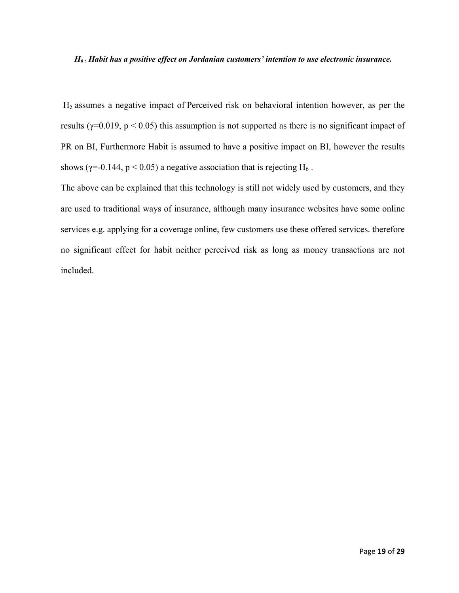#### *H6 : Habit has a positive effect on Jordanian customers' intention to use electronic insurance.*

H5 assumes a negative impact of Perceived risk on behavioral intention however, as per the results ( $\gamma$ =0.019, p < 0.05) this assumption is not supported as there is no significant impact of PR on BI, Furthermore Habit is assumed to have a positive impact on BI, however the results shows ( $\gamma$ =-0.144,  $p$  < 0.05) a negative association that is rejecting H<sub>6</sub>.

The above can be explained that this technology is still not widely used by customers, and they are used to traditional ways of insurance, although many insurance websites have some online services e.g. applying for a coverage online, few customers use these offered services. therefore no significant effect for habit neither perceived risk as long as money transactions are not included.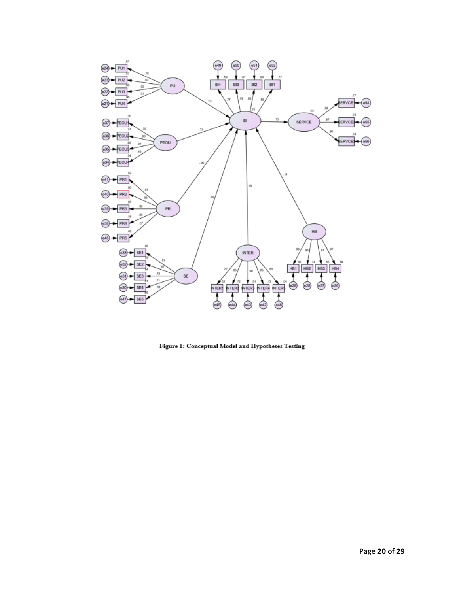

Figure 1: Conceptual Model and Hypotheses Testing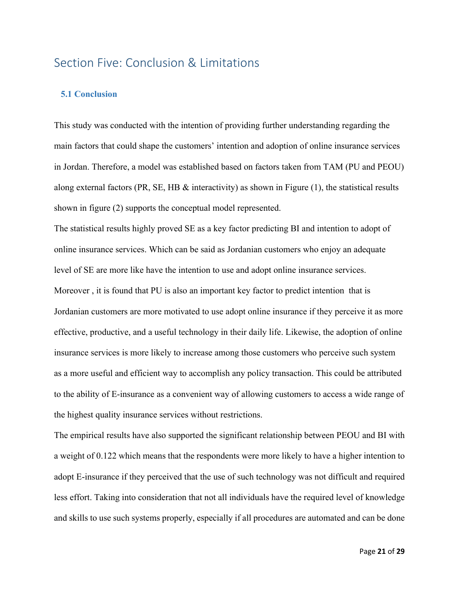## Section Five: Conclusion & Limitations

#### **5.1 Conclusion**

This study was conducted with the intention of providing further understanding regarding the main factors that could shape the customers' intention and adoption of online insurance services in Jordan. Therefore, a model was established based on factors taken from TAM (PU and PEOU) along external factors (PR, SE, HB  $\&$  interactivity) as shown in Figure (1), the statistical results shown in figure (2) supports the conceptual model represented.

The statistical results highly proved SE as a key factor predicting BI and intention to adopt of online insurance services. Which can be said as Jordanian customers who enjoy an adequate level of SE are more like have the intention to use and adopt online insurance services. Moreover , it is found that PU is also an important key factor to predict intention that is Jordanian customers are more motivated to use adopt online insurance if they perceive it as more effective, productive, and a useful technology in their daily life. Likewise, the adoption of online insurance services is more likely to increase among those customers who perceive such system as a more useful and efficient way to accomplish any policy transaction. This could be attributed to the ability of E-insurance as a convenient way of allowing customers to access a wide range of the highest quality insurance services without restrictions.

The empirical results have also supported the significant relationship between PEOU and BI with a weight of 0.122 which means that the respondents were more likely to have a higher intention to adopt E-insurance if they perceived that the use of such technology was not difficult and required less effort. Taking into consideration that not all individuals have the required level of knowledge and skills to use such systems properly, especially if all procedures are automated and can be done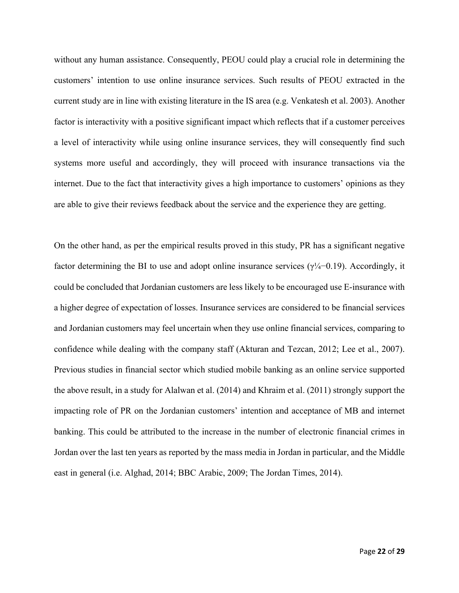without any human assistance. Consequently, PEOU could play a crucial role in determining the customers' intention to use online insurance services. Such results of PEOU extracted in the current study are in line with existing literature in the IS area (e.g. Venkatesh et al. 2003). Another factor is interactivity with a positive significant impact which reflects that if a customer perceives a level of interactivity while using online insurance services, they will consequently find such systems more useful and accordingly, they will proceed with insurance transactions via the internet. Due to the fact that interactivity gives a high importance to customers' opinions as they are able to give their reviews feedback about the service and the experience they are getting.

On the other hand, as per the empirical results proved in this study, PR has a significant negative factor determining the BI to use and adopt online insurance services ( $\gamma\frac{1}{4}$ −0.19). Accordingly, it could be concluded that Jordanian customers are less likely to be encouraged use E-insurance with a higher degree of expectation of losses. Insurance services are considered to be financial services and Jordanian customers may feel uncertain when they use online financial services, comparing to confidence while dealing with the company staff (Akturan and Tezcan, 2012; Lee et al., 2007). Previous studies in financial sector which studied mobile banking as an online service supported the above result, in a study for Alalwan et al. (2014) and Khraim et al. (2011) strongly support the impacting role of PR on the Jordanian customers' intention and acceptance of MB and internet banking. This could be attributed to the increase in the number of electronic financial crimes in Jordan over the last ten years as reported by the mass media in Jordan in particular, and the Middle east in general (i.e. Alghad, 2014; BBC Arabic, 2009; The Jordan Times, 2014).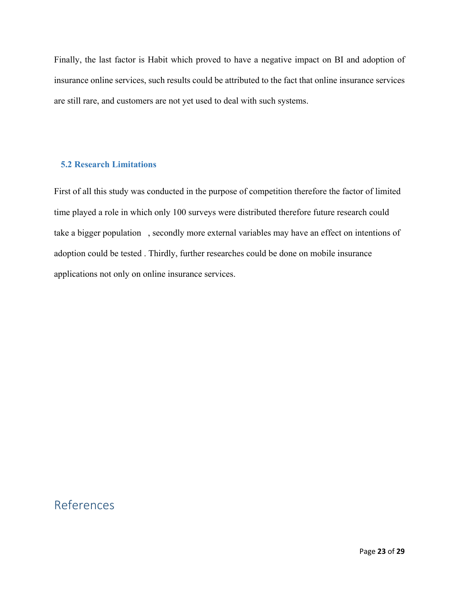Finally, the last factor is Habit which proved to have a negative impact on BI and adoption of insurance online services, such results could be attributed to the fact that online insurance services are still rare, and customers are not yet used to deal with such systems.

#### **5.2 Research Limitations**

First of all this study was conducted in the purpose of competition therefore the factor of limited time played a role in which only 100 surveys were distributed therefore future research could take a bigger population , secondly more external variables may have an effect on intentions of adoption could be tested . Thirdly, further researches could be done on mobile insurance applications not only on online insurance services.

# References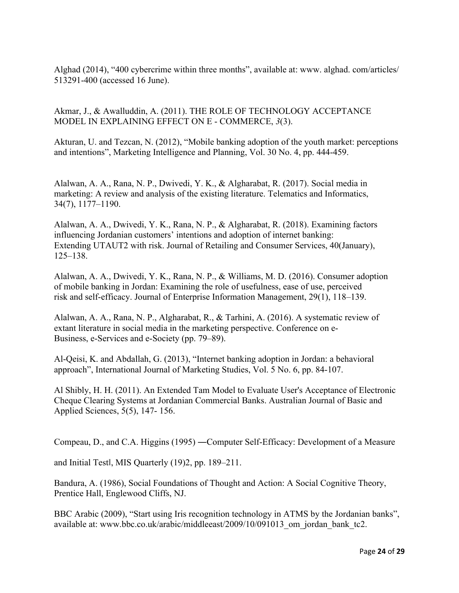Alghad (2014), "400 cybercrime within three months", available at: www. alghad. com/articles/ 513291-400 (accessed 16 June).

Akmar, J., & Awalluddin, A. (2011). THE ROLE OF TECHNOLOGY ACCEPTANCE MODEL IN EXPLAINING EFFECT ON E - COMMERCE, *3*(3).

Akturan, U. and Tezcan, N. (2012), "Mobile banking adoption of the youth market: perceptions and intentions", Marketing Intelligence and Planning, Vol. 30 No. 4, pp. 444-459.

Alalwan, A. A., Rana, N. P., Dwivedi, Y. K., & Algharabat, R. (2017). Social media in marketing: A review and analysis of the existing literature. Telematics and Informatics, 34(7), 1177–1190.

Alalwan, A. A., Dwivedi, Y. K., Rana, N. P., & Algharabat, R. (2018). Examining factors influencing Jordanian customers' intentions and adoption of internet banking: Extending UTAUT2 with risk. Journal of Retailing and Consumer Services, 40(January), 125–138.

Alalwan, A. A., Dwivedi, Y. K., Rana, N. P., & Williams, M. D. (2016). Consumer adoption of mobile banking in Jordan: Examining the role of usefulness, ease of use, perceived risk and self-efficacy. Journal of Enterprise Information Management, 29(1), 118–139.

Alalwan, A. A., Rana, N. P., Algharabat, R., & Tarhini, A. (2016). A systematic review of extant literature in social media in the marketing perspective. Conference on e-Business, e-Services and e-Society (pp. 79–89).

Al-Qeisi, K. and Abdallah, G. (2013), "Internet banking adoption in Jordan: a behavioral approach", International Journal of Marketing Studies, Vol. 5 No. 6, pp. 84-107.

Al Shibly, H. H. (2011). An Extended Tam Model to Evaluate User's Acceptance of Electronic Cheque Clearing Systems at Jordanian Commercial Banks. Australian Journal of Basic and Applied Sciences, 5(5), 147- 156.

Compeau, D., and C.A. Higgins (1995) ―Computer Self-Efficacy: Development of a Measure

and Initial Testǁ, MIS Quarterly (19)2, pp. 189–211.

Bandura, A. (1986), Social Foundations of Thought and Action: A Social Cognitive Theory, Prentice Hall, Englewood Cliffs, NJ.

BBC Arabic (2009), "Start using Iris recognition technology in ATMS by the Jordanian banks", available at: www.bbc.co.uk/arabic/middleeast/2009/10/091013\_om\_jordan\_bank\_tc2.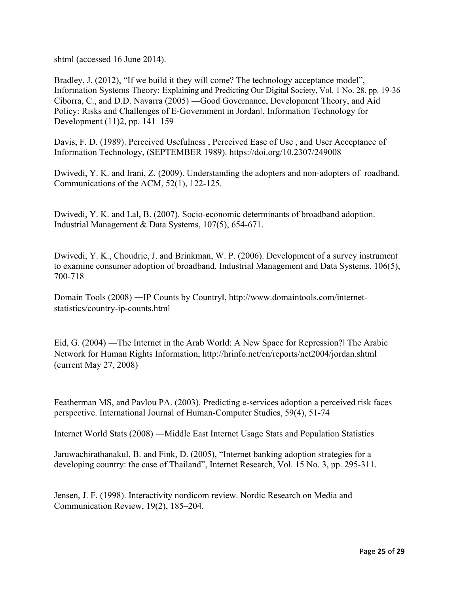shtml (accessed 16 June 2014).

Bradley, J. (2012), "If we build it they will come? The technology acceptance model", Information Systems Theory: Explaining and Predicting Our Digital Society, Vol. 1 No. 28, pp. 19-36 Ciborra, C., and D.D. Navarra (2005) ―Good Governance, Development Theory, and Aid Policy: Risks and Challenges of E-Government in Jordanǁ, Information Technology for Development (11)2, pp. 141–159

Davis, F. D. (1989). Perceived Usefulness , Perceived Ease of Use , and User Acceptance of Information Technology, (SEPTEMBER 1989). https://doi.org/10.2307/249008

Dwivedi, Y. K. and Irani, Z. (2009). Understanding the adopters and non-adopters of roadband. Communications of the ACM, 52(1), 122-125.

Dwivedi, Y. K. and Lal, B. (2007). Socio-economic determinants of broadband adoption. Industrial Management & Data Systems, 107(5), 654-671.

Dwivedi, Y. K., Choudrie, J. and Brinkman, W. P. (2006). Development of a survey instrument to examine consumer adoption of broadband. Industrial Management and Data Systems, 106(5), 700-718

Domain Tools (2008) ―IP Counts by Countryǁ, http://www.domaintools.com/internetstatistics/country-ip-counts.html

Eid, G. (2004) ―The Internet in the Arab World: A New Space for Repression?ǁ The Arabic Network for Human Rights Information, http://hrinfo.net/en/reports/net2004/jordan.shtml (current May 27, 2008)

Featherman MS, and Pavlou PA. (2003). Predicting e-services adoption a perceived risk faces perspective. International Journal of Human-Computer Studies, 59(4), 51-74

Internet World Stats (2008) ―Middle East Internet Usage Stats and Population Statistics

Jaruwachirathanakul, B. and Fink, D. (2005), "Internet banking adoption strategies for a developing country: the case of Thailand", Internet Research, Vol. 15 No. 3, pp. 295-311.

Jensen, J. F. (1998). Interactivity nordicom review. Nordic Research on Media and Communication Review, 19(2), 185–204.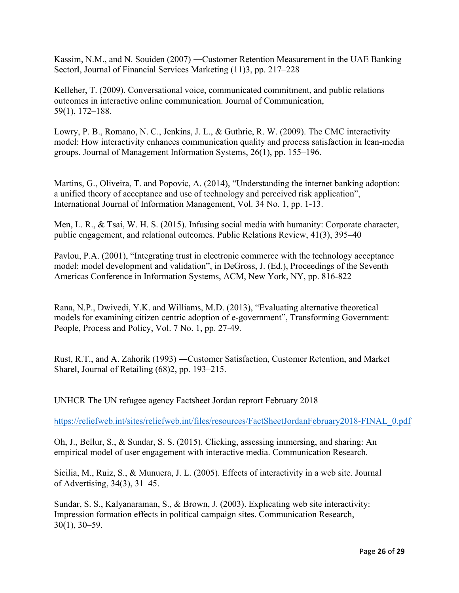Kassim, N.M., and N. Souiden (2007) ―Customer Retention Measurement in the UAE Banking Sectorǁ, Journal of Financial Services Marketing (11)3, pp. 217–228

Kelleher, T. (2009). Conversational voice, communicated commitment, and public relations outcomes in interactive online communication. Journal of Communication, 59(1), 172–188.

Lowry, P. B., Romano, N. C., Jenkins, J. L., & Guthrie, R. W. (2009). The CMC interactivity model: How interactivity enhances communication quality and process satisfaction in lean-media groups. Journal of Management Information Systems, 26(1), pp. 155–196.

Martins, G., Oliveira, T. and Popovic, A. (2014), "Understanding the internet banking adoption: a unified theory of acceptance and use of technology and perceived risk application", International Journal of Information Management, Vol. 34 No. 1, pp. 1-13.

Men, L. R., & Tsai, W. H. S. (2015). Infusing social media with humanity: Corporate character, public engagement, and relational outcomes. Public Relations Review, 41(3), 395–40

Pavlou, P.A. (2001), "Integrating trust in electronic commerce with the technology acceptance model: model development and validation", in DeGross, J. (Ed.), Proceedings of the Seventh Americas Conference in Information Systems, ACM, New York, NY, pp. 816-822

Rana, N.P., Dwivedi, Y.K. and Williams, M.D. (2013), "Evaluating alternative theoretical models for examining citizen centric adoption of e-government", Transforming Government: People, Process and Policy, Vol. 7 No. 1, pp. 27-49.

Rust, R.T., and A. Zahorik (1993) ―Customer Satisfaction, Customer Retention, and Market Shareǁ, Journal of Retailing (68)2, pp. 193–215.

UNHCR The UN refugee agency Factsheet Jordan reprort February 2018

https://reliefweb.int/sites/reliefweb.int/files/resources/FactSheetJordanFebruary2018-FINAL\_0.pdf

Oh, J., Bellur, S., & Sundar, S. S. (2015). Clicking, assessing immersing, and sharing: An empirical model of user engagement with interactive media. Communication Research.

Sicilia, M., Ruiz, S., & Munuera, J. L. (2005). Effects of interactivity in a web site. Journal of Advertising, 34(3), 31–45.

Sundar, S. S., Kalyanaraman, S., & Brown, J. (2003). Explicating web site interactivity: Impression formation effects in political campaign sites. Communication Research, 30(1), 30–59.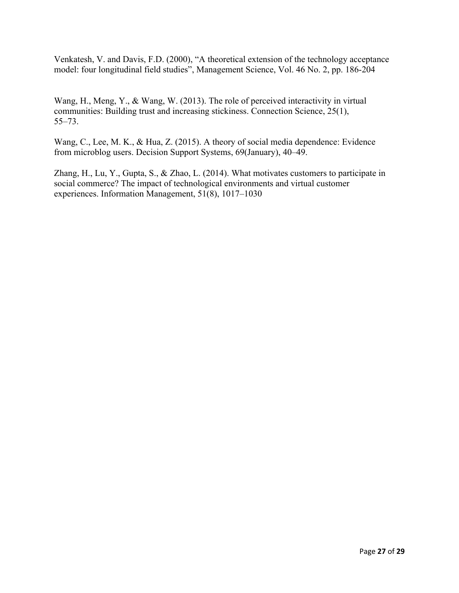Venkatesh, V. and Davis, F.D. (2000), "A theoretical extension of the technology acceptance model: four longitudinal field studies", Management Science, Vol. 46 No. 2, pp. 186-204

Wang, H., Meng, Y., & Wang, W. (2013). The role of perceived interactivity in virtual communities: Building trust and increasing stickiness. Connection Science, 25(1), 55–73.

Wang, C., Lee, M. K., & Hua, Z. (2015). A theory of social media dependence: Evidence from microblog users. Decision Support Systems, 69(January), 40–49.

Zhang, H., Lu, Y., Gupta, S., & Zhao, L. (2014). What motivates customers to participate in social commerce? The impact of technological environments and virtual customer experiences. Information Management, 51(8), 1017–1030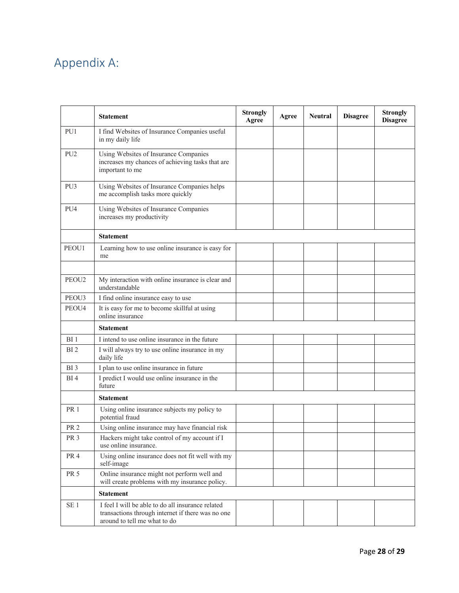# Appendix A:

|                 | <b>Statement</b>                                                                                                                       | <b>Strongly</b><br>Agree | Agree | <b>Neutral</b> | <b>Disagree</b> | <b>Strongly</b><br><b>Disagree</b> |
|-----------------|----------------------------------------------------------------------------------------------------------------------------------------|--------------------------|-------|----------------|-----------------|------------------------------------|
| PU1             | I find Websites of Insurance Companies useful<br>in my daily life                                                                      |                          |       |                |                 |                                    |
| PU <sub>2</sub> | Using Websites of Insurance Companies<br>increases my chances of achieving tasks that are<br>important to me                           |                          |       |                |                 |                                    |
| PU3             | Using Websites of Insurance Companies helps<br>me accomplish tasks more quickly                                                        |                          |       |                |                 |                                    |
| PU4             | Using Websites of Insurance Companies<br>increases my productivity                                                                     |                          |       |                |                 |                                    |
|                 | <b>Statement</b>                                                                                                                       |                          |       |                |                 |                                    |
| PEOU1           | Learning how to use online insurance is easy for<br>me                                                                                 |                          |       |                |                 |                                    |
| PEOU2           | My interaction with online insurance is clear and<br>understandable                                                                    |                          |       |                |                 |                                    |
| PEOU3           | I find online insurance easy to use                                                                                                    |                          |       |                |                 |                                    |
| PEOU4           | It is easy for me to become skillful at using<br>online insurance                                                                      |                          |       |                |                 |                                    |
|                 | <b>Statement</b>                                                                                                                       |                          |       |                |                 |                                    |
| BI <sub>1</sub> | I intend to use online insurance in the future                                                                                         |                          |       |                |                 |                                    |
| BI <sub>2</sub> | I will always try to use online insurance in my<br>daily life                                                                          |                          |       |                |                 |                                    |
| BI <sub>3</sub> | I plan to use online insurance in future                                                                                               |                          |       |                |                 |                                    |
| BI <sub>4</sub> | I predict I would use online insurance in the<br>future                                                                                |                          |       |                |                 |                                    |
|                 | <b>Statement</b>                                                                                                                       |                          |       |                |                 |                                    |
| <b>PR1</b>      | Using online insurance subjects my policy to<br>potential fraud                                                                        |                          |       |                |                 |                                    |
| PR <sub>2</sub> | Using online insurance may have financial risk                                                                                         |                          |       |                |                 |                                    |
| PR <sub>3</sub> | Hackers might take control of my account if I<br>use online insurance.                                                                 |                          |       |                |                 |                                    |
| PR <sub>4</sub> | Using online insurance does not fit well with my<br>self-image                                                                         |                          |       |                |                 |                                    |
| <b>PR 5</b>     | Online insurance might not perform well and<br>will create problems with my insurance policy.                                          |                          |       |                |                 |                                    |
|                 | <b>Statement</b>                                                                                                                       |                          |       |                |                 |                                    |
| SE <sub>1</sub> | I feel I will be able to do all insurance related<br>transactions through internet if there was no one<br>around to tell me what to do |                          |       |                |                 |                                    |